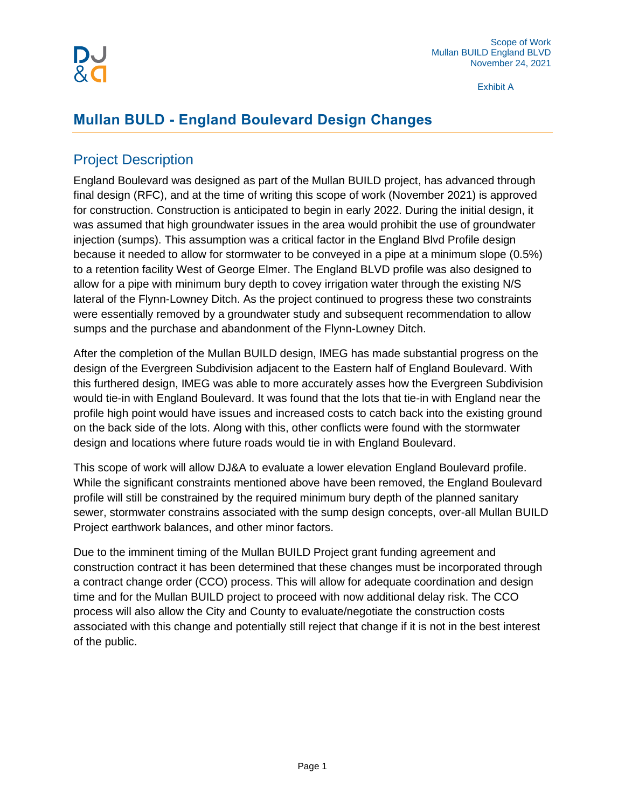Exhibit A

# **Mullan BULD - England Boulevard Design Changes**

# Project Description

England Boulevard was designed as part of the Mullan BUILD project, has advanced through final design (RFC), and at the time of writing this scope of work (November 2021) is approved for construction. Construction is anticipated to begin in early 2022. During the initial design, it was assumed that high groundwater issues in the area would prohibit the use of groundwater injection (sumps). This assumption was a critical factor in the England Blvd Profile design because it needed to allow for stormwater to be conveyed in a pipe at a minimum slope (0.5%) to a retention facility West of George Elmer. The England BLVD profile was also designed to allow for a pipe with minimum bury depth to covey irrigation water through the existing N/S lateral of the Flynn-Lowney Ditch. As the project continued to progress these two constraints were essentially removed by a groundwater study and subsequent recommendation to allow sumps and the purchase and abandonment of the Flynn-Lowney Ditch.

After the completion of the Mullan BUILD design, IMEG has made substantial progress on the design of the Evergreen Subdivision adjacent to the Eastern half of England Boulevard. With this furthered design, IMEG was able to more accurately asses how the Evergreen Subdivision would tie-in with England Boulevard. It was found that the lots that tie-in with England near the profile high point would have issues and increased costs to catch back into the existing ground on the back side of the lots. Along with this, other conflicts were found with the stormwater design and locations where future roads would tie in with England Boulevard.

This scope of work will allow DJ&A to evaluate a lower elevation England Boulevard profile. While the significant constraints mentioned above have been removed, the England Boulevard profile will still be constrained by the required minimum bury depth of the planned sanitary sewer, stormwater constrains associated with the sump design concepts, over-all Mullan BUILD Project earthwork balances, and other minor factors.

Due to the imminent timing of the Mullan BUILD Project grant funding agreement and construction contract it has been determined that these changes must be incorporated through a contract change order (CCO) process. This will allow for adequate coordination and design time and for the Mullan BUILD project to proceed with now additional delay risk. The CCO process will also allow the City and County to evaluate/negotiate the construction costs associated with this change and potentially still reject that change if it is not in the best interest of the public.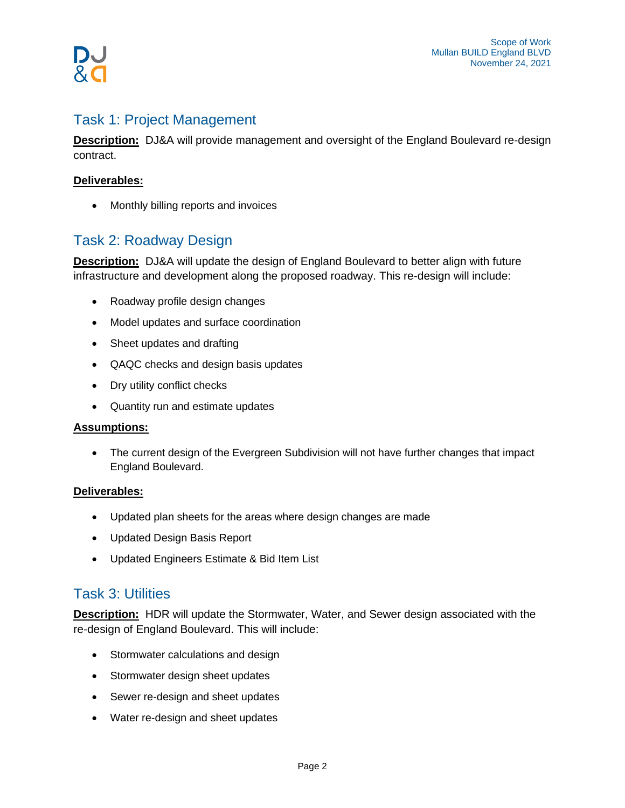# Task 1: Project Management

**Description:** DJ&A will provide management and oversight of the England Boulevard re-design contract.

## **Deliverables:**

• Monthly billing reports and invoices

# Task 2: Roadway Design

**Description:** DJ&A will update the design of England Boulevard to better align with future infrastructure and development along the proposed roadway. This re-design will include:

- Roadway profile design changes
- Model updates and surface coordination
- Sheet updates and drafting
- QAQC checks and design basis updates
- Dry utility conflict checks
- Quantity run and estimate updates

## **Assumptions:**

• The current design of the Evergreen Subdivision will not have further changes that impact England Boulevard.

## **Deliverables:**

- Updated plan sheets for the areas where design changes are made
- Updated Design Basis Report
- Updated Engineers Estimate & Bid Item List

## Task 3: Utilities

**Description:** HDR will update the Stormwater, Water, and Sewer design associated with the re-design of England Boulevard. This will include:

- Stormwater calculations and design
- Stormwater design sheet updates
- Sewer re-design and sheet updates
- Water re-design and sheet updates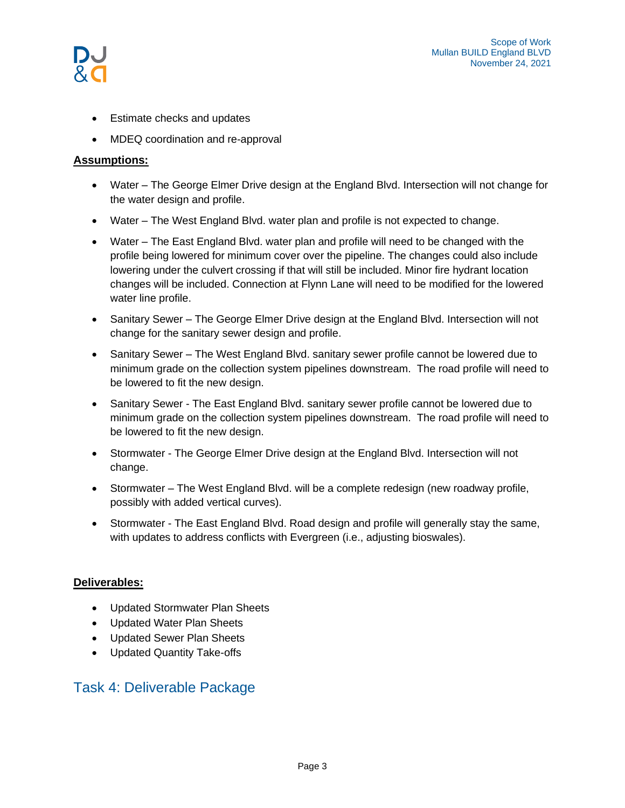- Estimate checks and updates
- MDEQ coordination and re-approval

## **Assumptions:**

- Water The George Elmer Drive design at the England Blvd. Intersection will not change for the water design and profile.
- Water The West England Blvd. water plan and profile is not expected to change.
- Water The East England Blvd. water plan and profile will need to be changed with the profile being lowered for minimum cover over the pipeline. The changes could also include lowering under the culvert crossing if that will still be included. Minor fire hydrant location changes will be included. Connection at Flynn Lane will need to be modified for the lowered water line profile.
- Sanitary Sewer The George Elmer Drive design at the England Blvd. Intersection will not change for the sanitary sewer design and profile.
- Sanitary Sewer The West England Blvd. sanitary sewer profile cannot be lowered due to minimum grade on the collection system pipelines downstream. The road profile will need to be lowered to fit the new design.
- Sanitary Sewer The East England Blvd. sanitary sewer profile cannot be lowered due to minimum grade on the collection system pipelines downstream. The road profile will need to be lowered to fit the new design.
- Stormwater The George Elmer Drive design at the England Blvd. Intersection will not change.
- Stormwater The West England Blvd. will be a complete redesign (new roadway profile, possibly with added vertical curves).
- Stormwater The East England Blvd. Road design and profile will generally stay the same, with updates to address conflicts with Evergreen (i.e., adjusting bioswales).

## **Deliverables:**

- Updated Stormwater Plan Sheets
- Updated Water Plan Sheets
- Updated Sewer Plan Sheets
- Updated Quantity Take-offs

# Task 4: Deliverable Package